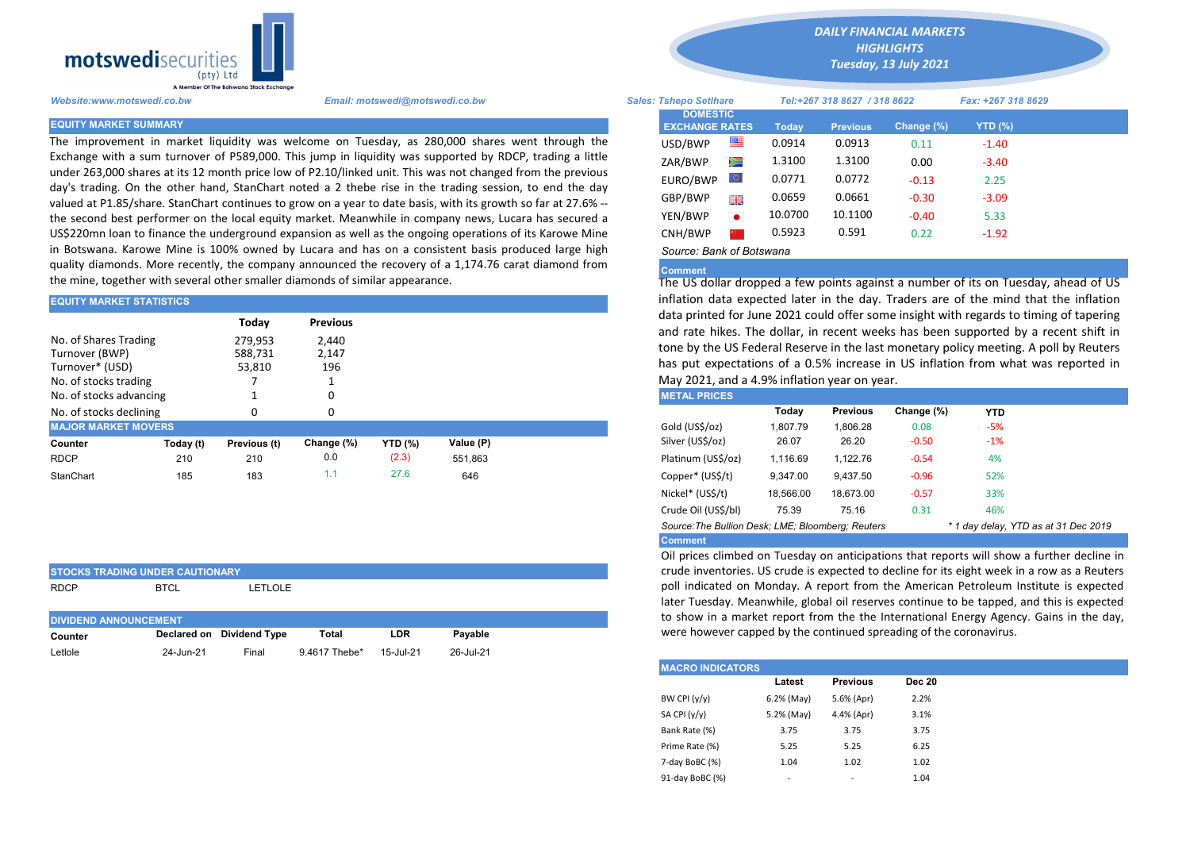

The improvement in market liquidity was welcome on Tuesday, as 280,000 shares went through the Exchange with a sum turnover of P589,000. This jump in liquidity was supported by RDCP, trading a little under 263,000 shares at its 12 month price low of P2.10/linked unit. This was not changed from the previous day's trading. On the other hand, StanChart noted a 2 thebe rise in the trading session, to end the day valued at P1.85/share. StanChart continues to grow on a year to date basis, with its growth so far at 27.6% - the second best performer on the local equity market. Meanwhile in company news, Lucara has secured a US\$220mn loan to finance the underground expansion as well as the ongoing operations of its Karowe Mine in Botswana. Karowe Mine is 100% owned by Lucara and has on a consistent basis produced large high quality diamonds. More recently, the company announced the recovery of a 1,174.76 carat diamond from the mine, together with several other smaller diamonds of similar appearance.

## EQUITY MARKET STATISTICS

STOCKS TRADING UNDER CAUTIONARY

|                                                                                     | Today                        | <b>Previous</b>       | data printed for June 2021 could offer some insight with regards to tir                                                                                                                                                                                             |           |  |                     |          |          |            |            |
|-------------------------------------------------------------------------------------|------------------------------|-----------------------|---------------------------------------------------------------------------------------------------------------------------------------------------------------------------------------------------------------------------------------------------------------------|-----------|--|---------------------|----------|----------|------------|------------|
| No. of Shares Trading<br>Turnover (BWP)<br>Turnover* (USD)<br>No. of stocks trading | 279.953<br>588,731<br>53,810 | 2,440<br>2,147<br>196 | and rate hikes. The dollar, in recent weeks has been supported by a<br>tone by the US Federal Reserve in the last monetary policy meeting. A<br>has put expectations of a 0.5% increase in US inflation from what y<br>May 2021, and a 4.9% inflation year on year. |           |  |                     |          |          |            |            |
| No. of stocks advancing                                                             |                              | 0                     |                                                                                                                                                                                                                                                                     |           |  | <b>METAL PRICES</b> |          |          |            |            |
| No. of stocks declining                                                             |                              | 0                     |                                                                                                                                                                                                                                                                     |           |  |                     | Todav    | Previous | Change (%) | <b>YTD</b> |
| <b>MAJOR MARKET MOVERS</b>                                                          |                              |                       |                                                                                                                                                                                                                                                                     |           |  | Gold (US\$/oz)      | 1.807.79 | 1.806.28 | 0.08       | $-5%$      |
| Today (t)<br>Counter                                                                | Previous (t)                 | Change (%)            | <b>YTD</b> (%)                                                                                                                                                                                                                                                      | Value (P) |  | Silver (US\$/oz)    | 26.07    | 26.20    | $-0.50$    | $-1%$      |
| <b>RDCP</b><br>210                                                                  | 210                          | 0.0                   | (2.3)                                                                                                                                                                                                                                                               | 551.863   |  | Platinum (US\$/oz)  | 1.116.69 | 1.122.76 | $-0.54$    | 4%         |
| StanChart<br>185                                                                    | 183                          | 1.1                   | 27.6                                                                                                                                                                                                                                                                | 646       |  | Copper* (US\$/t)    | 9.347.00 | 9,437.50 | $-0.96$    | 52%        |

| ISTOCKS TRADING UNDER CAUTIONART |             |                           |               |            |           |  |  |  |  |  |
|----------------------------------|-------------|---------------------------|---------------|------------|-----------|--|--|--|--|--|
| <b>RDCP</b>                      | <b>BTCL</b> | LETLOLE                   |               |            |           |  |  |  |  |  |
| <b>DIVIDEND ANNOUNCEMENT</b>     |             |                           |               |            |           |  |  |  |  |  |
| Counter                          |             | Declared on Dividend Type | Total         | <b>LDR</b> | Pavable   |  |  |  |  |  |
| Letlole                          | 24-Jun-21   | Final                     | 9.4617 Thebe* | 15-Jul-21  | 26-Jul-21 |  |  |  |  |  |

*DAILY FINANCIAL MARKETS*

*HIGHLIGHTS Tuesday, 13 July 2021* 

| A Member Of the Boiswand Slock Exchange |                                                                                                                                                                                                                        |                                          |           |                              |                 |               |                    |  |
|-----------------------------------------|------------------------------------------------------------------------------------------------------------------------------------------------------------------------------------------------------------------------|------------------------------------------|-----------|------------------------------|-----------------|---------------|--------------------|--|
| Website:www.motswedi.co.bw              | Email: motswedi@motswedi.co.bw                                                                                                                                                                                         | <b>Sales: Tshepo Setlhare</b>            |           | Tel:+267 318 8627 / 318 8622 |                 |               | Fax: +267 318 8629 |  |
| <b>EQUITY MARKET SUMMARY</b>            |                                                                                                                                                                                                                        | <b>DOMESTIC</b><br><b>EXCHANGE RATES</b> |           | Today                        | <b>Previous</b> | Change $(\%)$ | YTD $(\%)$         |  |
|                                         | The improvement in market liquidity was welcome on Tuesday, as 280,000 shares went through the                                                                                                                         | USD/BWP                                  | 而         | 0.0914                       | 0.0913          | 0.11          | $-1.40$            |  |
|                                         | Exchange with a sum turnover of P589,000. This jump in liquidity was supported by RDCP, trading a little                                                                                                               | ZAR/BWP                                  | Ň         | 1.3100                       | 1.3100          | 0.00          | $-3.40$            |  |
|                                         | under 263,000 shares at its 12 month price low of P2.10/linked unit. This was not changed from the previous<br>day's trading. On the other hand, StanChart noted a 2 thebe rise in the trading session, to end the day | EURO/BWP                                 |           | 0.0771                       | 0.0772          | $-0.13$       | 2.25               |  |
|                                         | valued at P1.85/share. StanChart continues to grow on a year to date basis, with its growth so far at 27.6% --                                                                                                         | GBP/BWP                                  | 꾉뽅        | 0.0659                       | 0.0661          | $-0.30$       | $-3.09$            |  |
|                                         | the second best performer on the local equity market. Meanwhile in company news, Lucara has secured a                                                                                                                  | YEN/BWP                                  | $\bullet$ | 10.0700                      | 10.1100         | $-0.40$       | 5.33               |  |
|                                         | US\$220mn loan to finance the underground expansion as well as the ongoing operations of its Karowe Mine                                                                                                               | CNH/BWP                                  |           | 0.5923                       | 0.591           | 0.22          | $-1.92$            |  |
|                                         | in Botswana. Karowe Mine is 100% owned by Lucara and has on a consistent basis produced large high                                                                                                                     | Source: Bank of Botswana                 |           |                              |                 |               |                    |  |

## **Comment**

The US dollar dropped a few points against a number of its on Tuesday, ahead of US inflation data expected later in the day. Traders are of the mind that the inflation data printed for June 2021 could offer some insight with regards to timing of tapering and rate hikes. The dollar, in recent weeks has been supported by a recent shift in tone by the US Federal Reserve in the last monetary policy meeting. A poll by Reuters has put expectations of a 0.5% increase in US inflation from what was reported in May 2021, and a 4.9% inflation year on year.

| <b>METAL PRICES</b>                                                                       |           |                 |            |       |  |  |  |  |  |
|-------------------------------------------------------------------------------------------|-----------|-----------------|------------|-------|--|--|--|--|--|
|                                                                                           | Today     | <b>Previous</b> | Change (%) | YTD   |  |  |  |  |  |
| Gold (US\$/oz)                                                                            | 1.807.79  | 1.806.28        | 0.08       | $-5%$ |  |  |  |  |  |
| Silver (US\$/oz)                                                                          | 26.07     | 26.20           | $-0.50$    | $-1%$ |  |  |  |  |  |
| Platinum (US\$/oz)                                                                        | 1.116.69  | 1,122.76        | $-0.54$    | 4%    |  |  |  |  |  |
| Copper* (US\$/t)                                                                          | 9.347.00  | 9.437.50        | $-0.96$    | 52%   |  |  |  |  |  |
| Nickel* (US\$/t)                                                                          | 18,566.00 | 18.673.00       | $-0.57$    | 33%   |  |  |  |  |  |
| Crude Oil (US\$/bl)                                                                       | 75.39     | 75.16           | 0.31       | 46%   |  |  |  |  |  |
| Source: The Bullion Desk: LME: Bloomberg: Reuters<br>* 1 day delay, YTD as at 31 Dec 2019 |           |                 |            |       |  |  |  |  |  |
| <b>Comment</b>                                                                            |           |                 |            |       |  |  |  |  |  |

Oil prices climbed on Tuesday on anticipations that reports will show a further decline in crude inventories. US crude is expected to decline for its eight week in a row as a Reuters poll indicated on Monday. A report from the American Petroleum Institute is expected later Tuesday. Meanwhile, global oil reserves continue to be tapped, and this is expected to show in a market report from the the International Energy Agency. Gains in the day, were however capped by the continued spreading of the coronavirus.

| <b>IMACRO INDICATORS</b> |                          |                 |               |  |  |  |  |  |
|--------------------------|--------------------------|-----------------|---------------|--|--|--|--|--|
|                          | Latest                   | <b>Previous</b> | <b>Dec 20</b> |  |  |  |  |  |
| BW CPI $(y/y)$           | 6.2% (May)               | 5.6% (Apr)      | 2.2%          |  |  |  |  |  |
| SA CPI $(y/y)$           | 5.2% (May)               | 4.4% (Apr)      | 3.1%          |  |  |  |  |  |
| Bank Rate (%)            | 3.75                     | 3.75            | 3.75          |  |  |  |  |  |
| Prime Rate (%)           | 5.25                     | 5.25            | 6.25          |  |  |  |  |  |
| 7-day BoBC (%)           | 1.04                     | 1.02            | 1.02          |  |  |  |  |  |
| 91-day BoBC (%)          | $\overline{\phantom{a}}$ | -               | 1.04          |  |  |  |  |  |